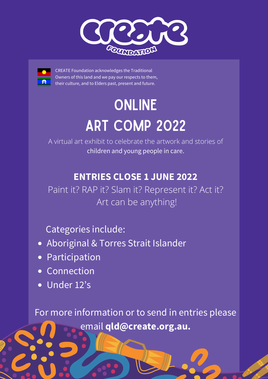



CREATE Foundation acknowledges the Traditional Owners of this land and we pay our respects to them, their culture, and to Elders past, present and future.

## ONLINE ART COMP 2022

A virtual art exhibit to celebrate the artwork and stories of children and young people in care.

## **ENTRIES CLOSE 1 JUNE 2022**

Paint it? RAP it? Slam it? Represent it? Act it? Art can be anything!

Categories include:

- Aboriginal & Torres Strait Islander
- Participation
- Connection
- Under 12's

For more information or to send in entries please email **[qld@create.org.au](mailto:qld@create.org.au).**